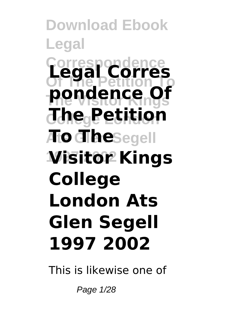**Download Ebook Legal Correspondence Legal Corres Of The Petition To The Visitor Kings pondence Of College London The Petition**  $A$  **The**Segell **1997 2002 Visitor Kings College London Ats Glen Segell 1997 2002**

This is likewise one of

Page 1/28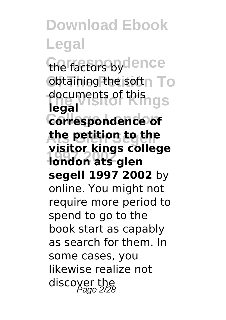**Download Ebook Legal** the factors by dence **obtaining the softn** To **The Visitor Kings** documents of this **College London correspondence of Ats Glen Segell the petition to the 1997 2002 london ats glen legal visitor kings college segell 1997 2002** by online. You might not require more period to spend to go to the book start as capably as search for them. In some cases, you likewise realize not discoyer the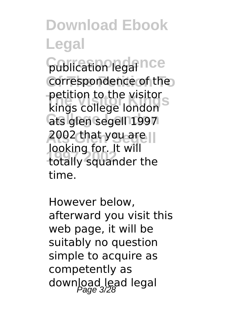publication legal nce correspondence of the **The Visitor Kings** kings college london **College London** ats glen segell 1997 **Ats Glen Segell** 2002 that you are **1997 2002** totally squander the petition to the visitor looking for. It will time.

However below, afterward you visit this web page, it will be suitably no question simple to acquire as competently as download lead legal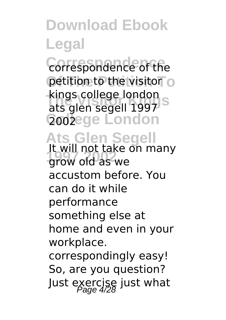**Correspondence** correspondence of the petition to the visitor o kings college london<br>Pats glen segell 1997 S **2002ege London** ats glen segell 1997

### **Ats Glen Segell**

**1997 2002** grow old as we It will not take on many accustom before. You can do it while performance something else at home and even in your workplace. correspondingly easy!

So, are you question? Just exercise just what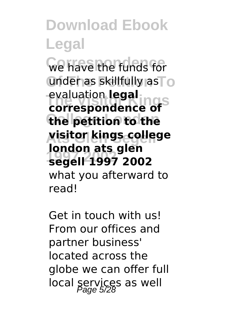**We have the funds for** under as skillfully as To **The Visitor Kings correspondence of College London the petition to the Ats Glen Segell visitor kings college 1997 2002 segell 1997 2002** evaluation **legal london ats glen** what you afterward to read!

Get in touch with us! From our offices and partner business' located across the globe we can offer full local services as well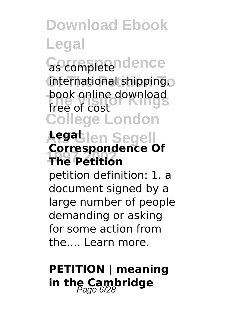Gottespeendence **Of The Petition To** international shipping, book online download<br>free of cost **College London** free of cost

#### **Ats Glen Segell Legal 1997 2002 The Petition Correspondence Of**

petition definition: 1. a document signed by a large number of people demanding or asking for some action from the **Learn more** 

#### **PETITION | meaning** in the Cambridge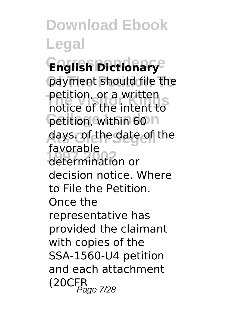**Download Ebook Legal Correspondence English Dictionary** payment should file the **The Visitor Kings** notice of the intent to **Petition, within 60 h Ats Glen Segell** days. of the date of the **1997 2002** determination or petition, or a written favorable decision notice. Where to File the Petition. Once the representative has provided the claimant with copies of the SSA-1560-U4 petition and each attachment  $(20CFR$ Page 7/28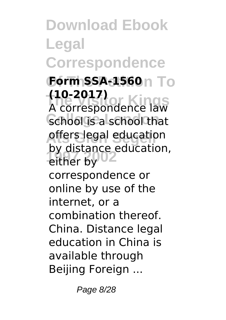**Download Ebook Legal Correspondence Form SSA-1560**n To **The Visitor Kings** A correspondence law School is a school that **Affers legal education** either by<sup>02</sup> **(10-2017)** by distance education, correspondence or online by use of the internet, or a combination thereof. China. Distance legal education in China is available through Beijing Foreign ...

Page 8/28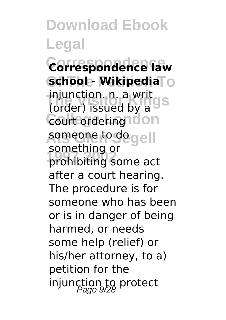**Download Ebook Legal Correspondence Correspondence law Of The Petition To school - Wikipedia The Visitor Kings** (order) issued by a Court ordering don **Ats Glen Segell** someone to do **1997 2002** prohibiting some act injunction. n. a writ something or after a court hearing. The procedure is for someone who has been or is in danger of being harmed, or needs some help (relief) or his/her attorney, to a) petition for the injunction to protect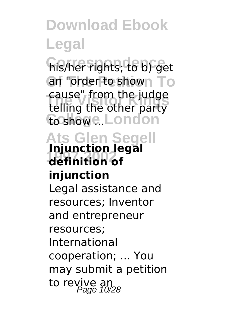**Correspondence** his/her rights; to b) get an "order to shown To **The Visitor Kings** telling the other party **College London** to show ... cause" from the judge

#### **Ats Glen Segell 1997 2002 definition of Injunction legal injunction**

Legal assistance and resources; Inventor and entrepreneur resources; International cooperation; ... You may submit a petition to revive an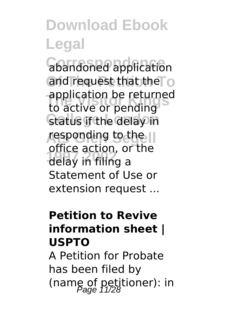**Correspondence** abandoned application and request that the To application be returned<br>to active or pending *<u>Cratus if the delay</u>* in responding to the II **1997 2002** delay in filing a to active or pending office action, or the Statement of Use or extension request ...

#### **Petition to Revive information sheet | USPTO**

A Petition for Probate has been filed by (name of petitioner): in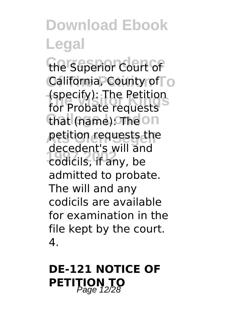the Superior Court of California, County of<sub>TO</sub> **The Visitor Kings** for Probate requests that (name): The on **petition requests the 1997 2002** codicils, if any, be (specify): The Petition decedent's will and admitted to probate. The will and any codicils are available for examination in the file kept by the court. 4.

#### **DE-121 NOTICE OF PETITION TO**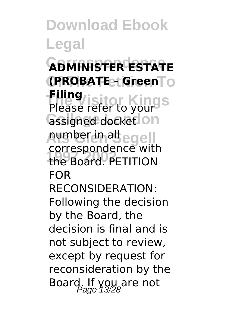**Download Ebook Legal Correspondence ADMINISTER ESTATE Of The Petition To (PROBATE - Green Thing**<br>Please refer to yours **Gssigned docketlon Ats Glen Segell** number in all **1997 2002** the Board. PETITION **Filing** correspondence with FOR RECONSIDERATION: Following the decision by the Board, the decision is final and is not subject to review, except by request for reconsideration by the Board. If you are not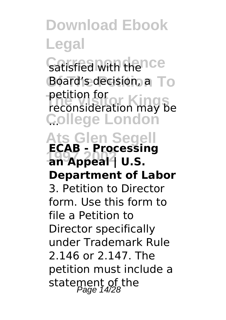**Download Ebook Legal** Satisfied with thence Board's decision, a To **The Visitor Kings** reconsideration may be **College London** ... **Ats Glen Segell 1997 2002 an Appeal | U.S.** petition for **ECAB - Processing Department of Labor** 3. Petition to Director form. Use this form to file a Petition to

Director specifically under Trademark Rule 2.146 or 2.147. The petition must include a statement of the<br>Page 14/28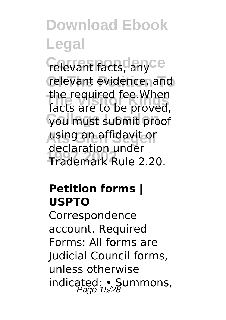*Celevant facts, anyce* relevant evidence, and **The Visitor Kings** facts are to be proved, **College London** you must submit proof **Ats Glen Segell** using an affidavit or **1997 2002** Trademark Rule 2.20. the required fee.When declaration under

#### **Petition forms | USPTO**

Correspondence account. Required Forms: All forms are Judicial Council forms, unless otherwise indicated: • Summons,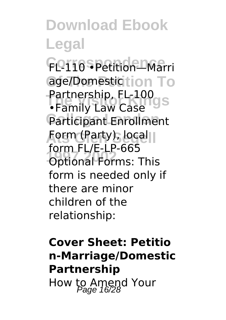**Download Ebook Legal Correspondence** FL-110 •Petition—Marri age/Domestic tion To **Farmership, FL-100**<br>•Family Law Case Participant Enrollment **Form (Party), local 1997 2002** Optional Forms: This Partnership, FL-100 form FL/E-LP-665 form is needed only if there are minor children of the relationship:

#### **Cover Sheet: Petitio n-Marriage/Domestic Partnership** How to Amend Your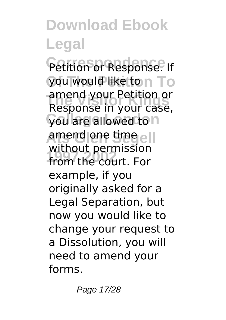Petition or Response. If you would like to n To **The Visitor Kings** Response in your case, **Gou** are allowed to n **Ats Glen Segell** amend one time **1997 2002** from the court. For amend your Petition or without permission example, if you originally asked for a Legal Separation, but now you would like to change your request to a Dissolution, you will need to amend your forms.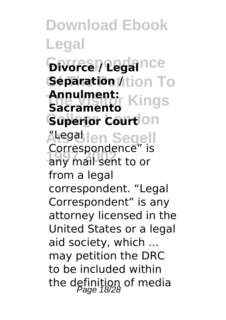**Download Ebook Legal** *<u>Divorcel</u>* **Legal**nce **Separation //**tion To **Annulment:**<br>Sacraments Kings **Superior Courtlon Ats Glen Segell** "Legal **1997 2002** any mail sent to or **Sacramento** Correspondence" is from a legal correspondent. "Legal Correspondent" is any attorney licensed in the United States or a legal aid society, which ... may petition the DRC to be included within the definition of media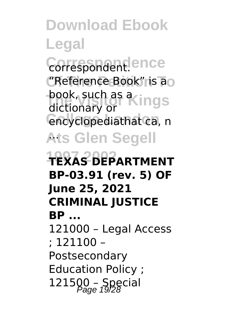**Download Ebook Legal** Correspondent.ence **Of The Petition To** "Reference Book" is a book, such as a ings encyclopediathat ca, n **Ats Glen Segell** ... **1997 2002 TEXAS DEPARTMENT** dictionary or **BP-03.91 (rev. 5) OF June 25, 2021 CRIMINAL JUSTICE BP ...** 121000 – Legal Access ; 121100 – Postsecondary Education Policy ;  $121500 - Special$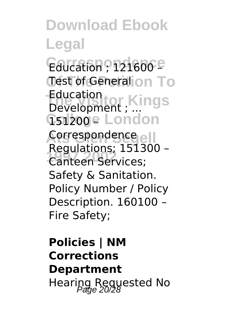**Download Ebook Legal** Education ? 121600<sup>e</sup> Test of General on To **The Visitor Kings** Education Gsi<sub>200</sub>e London Correspondence<sub>e</sub> **1997 2002** Canteen Services; Development ; ... Regulations; 151300 – Safety & Sanitation. Policy Number / Policy Description. 160100 – Fire Safety;

**Policies | NM Corrections Department** Hearing Requested No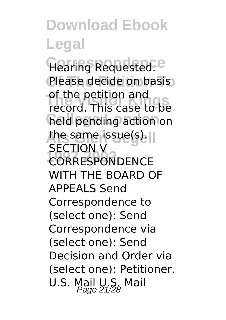**Download Ebook Legal** Hearing Requested.<sup>e</sup> Please decide on basis **The Visitor Kings** record. This case to be held pending action on the same issue(s). **CORRESPONDENCE** of the petition and SECTION V WITH THE BOARD OF APPEALS Send Correspondence to (select one): Send Correspondence via (select one): Send Decision and Order via (select one): Petitioner. U.S. Mail U.S. Mail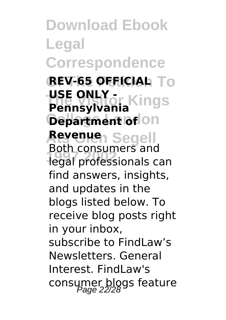**Download Ebook Legal Correspondence Of The Petition To REV-65 OFFICIAL The Visitor Kings USE ONLY - Department of on Ats Glen Segell Revenue 1997 2002** legal professionals can **Pennsylvania** Both consumers and find answers, insights, and updates in the blogs listed below. To receive blog posts right in your inbox, subscribe to FindLaw's Newsletters. General Interest. FindLaw's consumer blogs feature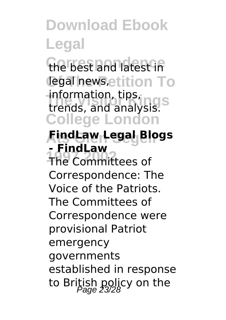the best and latest in **Legal news, etition To The Visitor Kings** trends, and analysis. **College London** information, tips,

#### **Ats Glen Segell FindLaw Legal Blogs - FindLaw**

**1997 2002** The Committees of Correspondence: The Voice of the Patriots. The Committees of Correspondence were provisional Patriot emergency governments established in response to British policy on the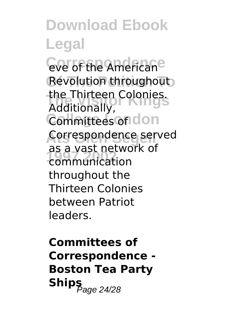**Download Ebook Legal Cove of the Americane** Revolution throughout **The Visitor Kings** the Thirteen Colonies. Committees on don **Ats Glen Segell** Correspondence served **1997 2002** communication Additionally, as a vast network of throughout the Thirteen Colonies between Patriot leaders.

**Committees of Correspondence - Boston Tea Party**  $\mathsf{Ships}_{\mathsf{Page}\,24/28}$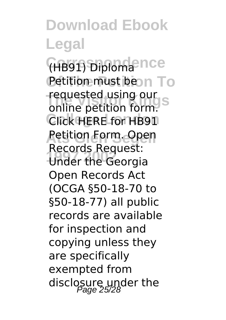**Download Ebook Legal Correspondence** (HB91) Diploma **Petition must bean To** requested using our<br>online petition form. Click HERE for HB91 **Ats Glen Segell** Petition Form. Open **1997 2002** Under the Georgia requested using our Records Request: Open Records Act (OCGA §50-18-70 to §50-18-77) all public records are available for inspection and copying unless they are specifically exempted from disclosure under the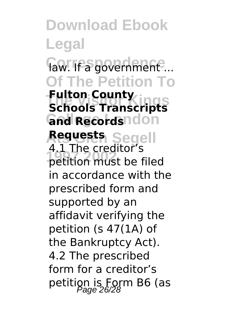**Download Ebook Legal Correspondence** law. If a government ... **Of The Petition To Fulton County**<br>Schools Transcripts **Gnd Records**ndon **Ats Glen Segell Requests 1997 2002** petition must be filed **Fulton County** 4.1 The creditor's in accordance with the prescribed form and supported by an affidavit verifying the petition (s 47(1A) of the Bankruptcy Act). 4.2 The prescribed form for a creditor's petition is Form B6 (as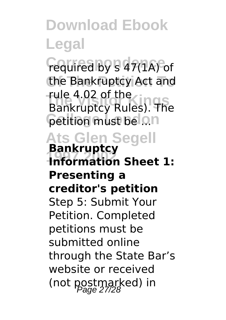**Correspondence** required by s 47(1A) of the Bankruptcy Act and **The Visitor Kings** Bankruptcy Rules). The **Cetition must belon** rule 4.02 of the

**Ats Glen Segell 1997 2002 Information Sheet 1: Bankruptcy Presenting a creditor's petition** Step 5: Submit Your Petition. Completed petitions must be submitted online through the State Bar's website or received (not postmarked) in